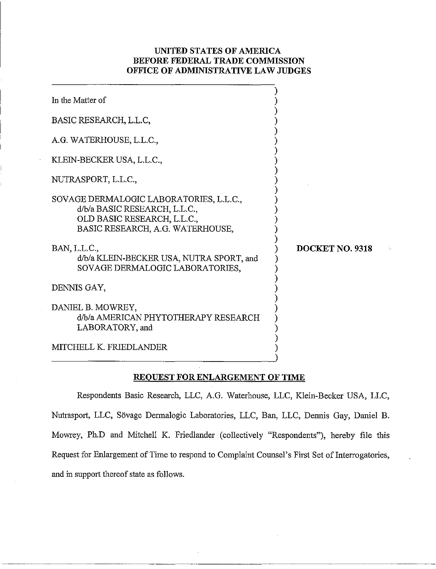# **UNITED STATES OF AMERICA BEFORE FEDERAL TRADE COMMISSION OFFICE OF ADMINISTRATIVE LAW JUDGES**

| In the Matter of                                                                                                                            |                        |
|---------------------------------------------------------------------------------------------------------------------------------------------|------------------------|
| BASIC RESEARCH, L.L.C.                                                                                                                      |                        |
| A.G. WATERHOUSE, L.L.C.,                                                                                                                    |                        |
| KLEIN-BECKER USA, L.L.C.,                                                                                                                   |                        |
| NUTRASPORT, L.L.C.,                                                                                                                         |                        |
| SOVAGE DERMALOGIC LABORATORIES, L.L.C.,<br>d/b/a BASIC RESEARCH, L.L.C.,<br>OLD BASIC RESEARCH, L.L.C.,<br>BASIC RESEARCH, A.G. WATERHOUSE, |                        |
| BAN, L.L.C.,<br>d/b/a KLEIN-BECKER USA, NUTRA SPORT, and<br>SOVAGE DERMALOGIC LABORATORIES,                                                 | <b>DOCKET NO. 9318</b> |
| DENNIS GAY,                                                                                                                                 |                        |
| DANIEL B. MOWREY,<br>d/b/a AMERICAN PHYTOTHERAPY RESEARCH<br>LABORATORY, and                                                                |                        |
| MITCHELL K. FRIEDLANDER                                                                                                                     |                        |

# **REOUEST FOR ENLARGEMENT OF TIME**

Respondents Basic Research, LLC, A.G. Waterhouse, LLC, Klein-Becker USA, LLC, Nutrasport, LLC, Sövage Dermalogic Laboratories, LLC, Ban, LLC, Dennis Gay, Daniel B. Mowrey, Ph.D and Mitchell K. Friedlander (collectively "Respondents"), hereby file this Request for Enlargement of Time to respond to Complaint Counsel's First Set of Interrogatories, and in support thereof state as follows.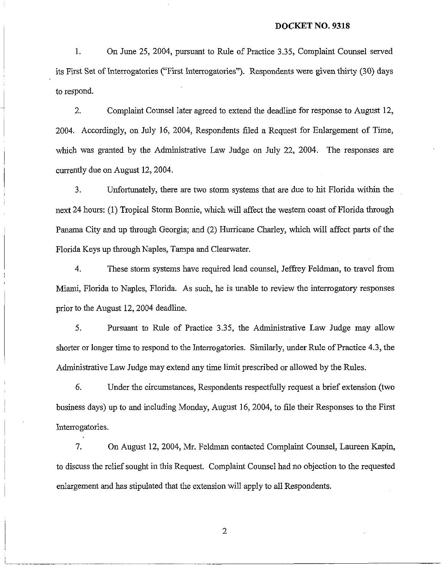#### **DOCKET NO. 9318**

1. On June 25, 2004, pursuant to Rule of Practice 3.35, Complaint Counsel served its First Set of Interrogatories ("First Interrogatories"). Respondents were given thirty (30) days to respond.

2. Complaint Counsel later agreed to extend the deadline for response to August 12, 2004. Accordingly, on July 16, 2004, Respondents filed a Request for Enlargement of Time, which was granted by the Administrative Law Judge on July 22, 2004. The responses are currently due on August 12, 2004.

3. Unfortunately, there are two storm systems that are due to hit Florida within the next 24 hours: (1) Tropical Storm Bonnie, which will affect the western coast of Florida through Panama City and up through Georgia; and (2) Hurricane Charley, which will affect parts of the Florida Keys up through Naples, Tampa and Clearwater.

4. These storm systems have required lead counsel, Jeffrey Feldman, to travel from Miami, Florida to Naples, Florida. As such, he is unable to review the interrogatory responses prior to the August 12,2004 deadline.

5. Pursuant to Rule of Practice 3.35, the Administrative Law Judge may allow shorter or longer time to respond to the Interrogatories. Similarly, under Rule of Practice 4.3, the Administrative Law Judge may extend any time limit prescribed or allowed by the Rules.

6. Under the circumstances, Respondents respectfully request a brief extension (two bushess days) up to and including Monday, August 16,2004, to file their Responses to the First Interrogatories.

7. On August 12,2004, Mr. Feldman contacted Complaint Counsel, Laureen Kapin, to discuss the relief sought in this Request. Complaint Counsel had no objection to the requested enlargement and has stipulated that the extension will apply to all Respondents.

 $\overline{2}$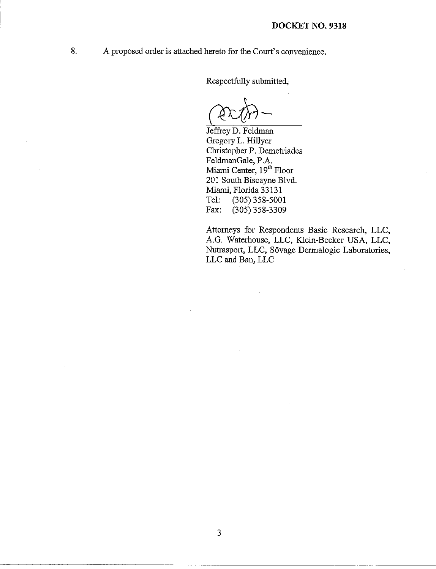8. A proposed order is attached hereto for the Court's convenience.

Respectfully submitted,

Jeffrey D. Feldman Gregory L. Hillyer Christopher P. Demetriades FeldinanGale, P.A. Miami Center, 19<sup>th</sup> Floor 201 South Biscayne Blvd. Miami, Florida 33131<br>Tel: (305) 358-500 (305) 358-5001 Fax: (305) 358-3309

Attorneys for Respondents Basic Research, LLC, A.G. Waterhouse, LLC, Klein-Becker USA, LLC, Nutrasport, LLC, Sövage Dermalogic Laboratories, LLC and Ban, LLC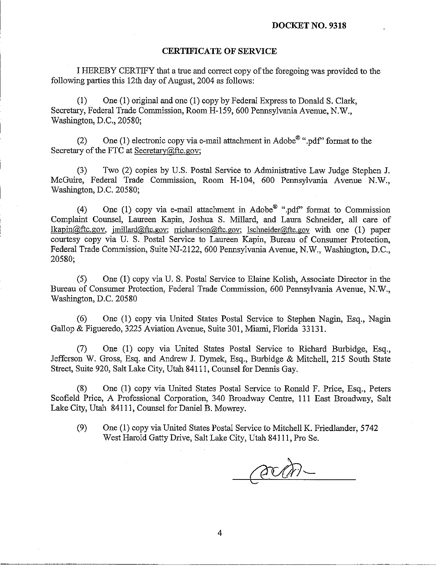## **CERTIFICATE OF SERVICE**

I IIEREBY CERTIFY that a true and correct copy of the foregoing was provided to the following parties this 12th day of August, 2004 as follows:

(1) One (1) original and one (1) copy by Federal Express to Donald S. Clark, Secretary, Federal Trade Conmission, Room H-159, 600 Pennsylvania Avenue, N.W., Washington, D.C., 20580;

(2) One (1) electronic copy via e-mail attachment in Adobe<sup>®</sup> ".pdf" format to the Secretary of the FTC at Secretary@ftc.gov;

(3) Two (2) copies by U.S. Postal Service to Administrative Law Judge Stephen J. McGuire, Federal Trade Commission, Room H-104, 600 Pemsylvania Avenue N.W., Washington, D.C. 20580;

(4) One (1) copy via e-mail attachment in Adobe<sup> $\mathbf{0}$ </sup> ".pdf" format to Commission Complaint Counsel, Laureen Kapin, Joshua S. Millard, and Laura Schneider, all care of  $lkapin@ftc.gov, initial@ftc.gov; richardson@ftc.gov; lschneider@ftc.gov with one (1) paper$ courtesy copy via U. S. Postal Service to Laureen Kapin, Bureau of Consumer Protection, Federal Trade Commission, Suite NJ-2122, 600 Pennsylvania Avenue, N.W., Washington, D.C., 20580;

(5) One (I) copy via U. S. Postal Service to Elaine Kolish, Associate Director in the Bureau of Consumer Protection, Federal Trade Commission, 600 Pennsylvania Avenue, N.W., Washington, D.C. 20580

(6) One (1) copy via United States Postal Service to Stephen Nagin, Esq., Nagin Gallop & Figueredo, 3225 Aviation Avenue, Suite 301, Miami, Florida 33 131.

(7) One (1) copy via United States Postal Service to Richard Burbidge, Esq., Jefferson W. Gross, Esq. and Andrew J. Dymek, Esq., Burbidge & Mitchell, 215 South State Street, Suite 920, Salt Lake City, Utah 841 11, Counsel for Dennis Gay.

(8) One (1) copy via United States Postal Service to Ronald F. Price, Esq., Peters Scofield Price, A Professional Corporation, 340 Broadway Centre, 111 East Broadway, Salt Lake City, Utah 84111, Counsel for Daniel B. Mowrey.

(9) One (1) copy via United States Postal Service to Mitchell K. Friedlander, 5742 West Harold Gatty Drive, Salt Lake City, Utah 84111, Pro Se.

acan-

4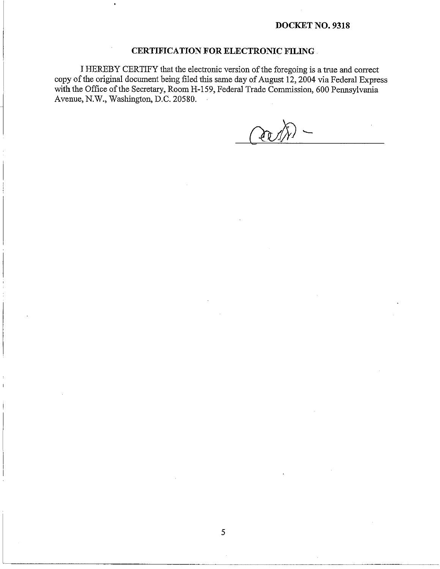### **DOCKET NO. 9318**

## **CERTIFICATION FOR ELECTRONIC FILING**

I HEREBY CERTIFY that the electronic version of the foregoing is a true and correct copy of the original document being filed this same day of August  $12$ ,  $2004$  via Federal Express with the Office of the Secretary, Room H-159, Federal Trade Commission, 600 Pennsylvania Avenue, N.W., Washington, D.C. 20580.